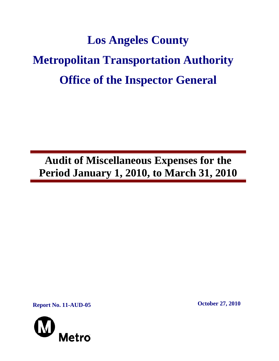# **Los Angeles County Metropolitan Transportation Authority Office of the Inspector General**

**Audit of Miscellaneous Expenses for the Period January 1, 2010, to March 31, 2010** 

**Report No. 11-AUD-05 October 27, 2010** 

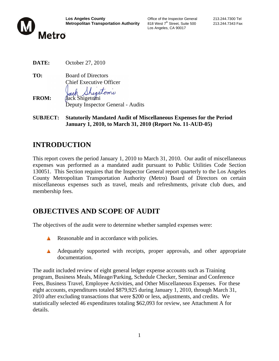

Los Angeles, CA 90017

**DATE:** October 27, 2010

**TO:** Board of Directors Chief Executive Officer

ack Shigetoni

- **FROM:** Jack Shigetomi Deputy Inspector General - Audits
- **SUBJECT: Statutorily Mandated Audit of Miscellaneous Expenses for the Period January 1, 2010, to March 31, 2010 (Report No. 11-AUD-05)**

# **INTRODUCTION**

This report covers the period January 1, 2010 to March 31, 2010. Our audit of miscellaneous expenses was performed as a mandated audit pursuant to Public Utilities Code Section 130051. This Section requires that the Inspector General report quarterly to the Los Angeles County Metropolitan Transportation Authority (Metro) Board of Directors on certain miscellaneous expenses such as travel, meals and refreshments, private club dues, and membership fees.

# **OBJECTIVES AND SCOPE OF AUDIT**

The objectives of the audit were to determine whether sampled expenses were:

- Reasonable and in accordance with policies.
- A Adequately supported with receipts, proper approvals, and other appropriate documentation.

The audit included review of eight general ledger expense accounts such as Training program, Business Meals, Mileage/Parking, Schedule Checker, Seminar and Conference Fees, Business Travel, Employee Activities, and Other Miscellaneous Expenses. For these eight accounts, expenditures totaled \$879,925 during January 1, 2010, through March 31, 2010 after excluding transactions that were \$200 or less, adjustments, and credits. We statistically selected 46 expenditures totaling \$62,093 for review, see Attachment A for details.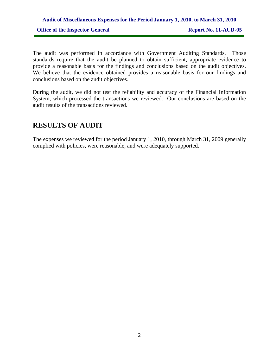## **Audit of Miscellaneous Expenses for the Period January 1, 2010, to March 31, 2010 Office of the Inspector General Report No. 11-AUD-05**

The audit was performed in accordance with Government Auditing Standards. Those standards require that the audit be planned to obtain sufficient, appropriate evidence to provide a reasonable basis for the findings and conclusions based on the audit objectives. We believe that the evidence obtained provides a reasonable basis for our findings and conclusions based on the audit objectives.

During the audit, we did not test the reliability and accuracy of the Financial Information System, which processed the transactions we reviewed. Our conclusions are based on the audit results of the transactions reviewed.

#### **RESULTS OF AUDIT**

The expenses we reviewed for the period January 1, 2010, through March 31, 2009 generally complied with policies, were reasonable, and were adequately supported.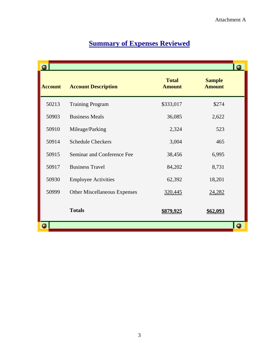# **Summary of Expenses Reviewed**

|                |                                     |                               |                                | $\bullet$ |
|----------------|-------------------------------------|-------------------------------|--------------------------------|-----------|
| <b>Account</b> | <b>Account Description</b>          | <b>Total</b><br><b>Amount</b> | <b>Sample</b><br><b>Amount</b> |           |
| 50213          | <b>Training Program</b>             | \$333,017                     | \$274                          |           |
| 50903          | <b>Business Meals</b>               | 36,085                        | 2,622                          |           |
| 50910          | Mileage/Parking                     | 2,324                         | 523                            |           |
| 50914          | <b>Schedule Checkers</b>            | 3,004                         | 465                            |           |
| 50915          | Seminar and Conference Fee          | 38,456                        | 6,995                          |           |
| 50917          | <b>Business Travel</b>              | 84,202                        | 8,731                          |           |
| 50930          | <b>Employee Activities</b>          | 62,392                        | 18,201                         |           |
| 50999          | <b>Other Miscellaneous Expenses</b> | 320,445                       | 24,282                         |           |
|                | <b>Totals</b>                       | \$879,925                     | \$62,093                       |           |
|                |                                     |                               |                                |           |